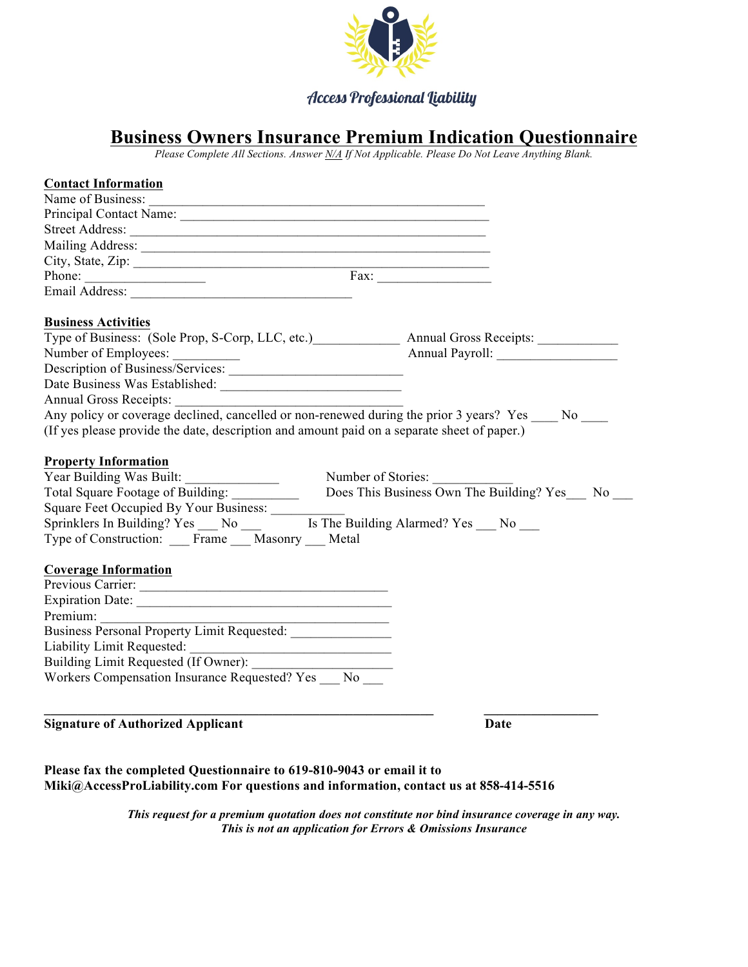

## **Access Professional Liability**

## **Business Owners Insurance Premium Indication Questionnaire**

*Please Complete All Sections. Answer N/A If Not Applicable. Please Do Not Leave Anything Blank.*

| <b>Contact Information</b>                                                                                                                                                                                                     |
|--------------------------------------------------------------------------------------------------------------------------------------------------------------------------------------------------------------------------------|
| Name of Business:                                                                                                                                                                                                              |
|                                                                                                                                                                                                                                |
|                                                                                                                                                                                                                                |
| Mailing Address: National Address: National Address: National Address: National Address: National Address: National Address: National Address: National Address: National Address: National Address: National Address: Nationa |
|                                                                                                                                                                                                                                |
| Phone:                                                                                                                                                                                                                         |
|                                                                                                                                                                                                                                |
|                                                                                                                                                                                                                                |
| <b>Business Activities</b>                                                                                                                                                                                                     |
| Type of Business: (Sole Prop, S-Corp, LLC, etc.) Annual Gross Receipts:                                                                                                                                                        |
|                                                                                                                                                                                                                                |
|                                                                                                                                                                                                                                |
|                                                                                                                                                                                                                                |
|                                                                                                                                                                                                                                |
|                                                                                                                                                                                                                                |
| (If yes please provide the date, description and amount paid on a separate sheet of paper.)                                                                                                                                    |
| <b>Property Information</b><br>Number of Stories:<br>Does This Business Own The Building? Yes No<br>Total Square Footage of Building: __________<br>Type of Construction: Frame Masonry __ Metal                               |
| <b>Coverage Information</b>                                                                                                                                                                                                    |
| Previous Carrier:                                                                                                                                                                                                              |
|                                                                                                                                                                                                                                |
| Premium:                                                                                                                                                                                                                       |
|                                                                                                                                                                                                                                |
| Liability Limit Requested:                                                                                                                                                                                                     |
| Building Limit Requested (If Owner): ___________                                                                                                                                                                               |
| Workers Compensation Insurance Requested? Yes No                                                                                                                                                                               |
|                                                                                                                                                                                                                                |
|                                                                                                                                                                                                                                |

**Signature of Authorized Applicant Date** 

**Please fax the completed Questionnaire to 619-810-9043 or email it to Miki@AccessProLiability.com For questions and information, contact us at 858-414-5516**

> *This request for a premium quotation does not constitute nor bind insurance coverage in any way. This is not an application for Errors & Omissions Insurance*